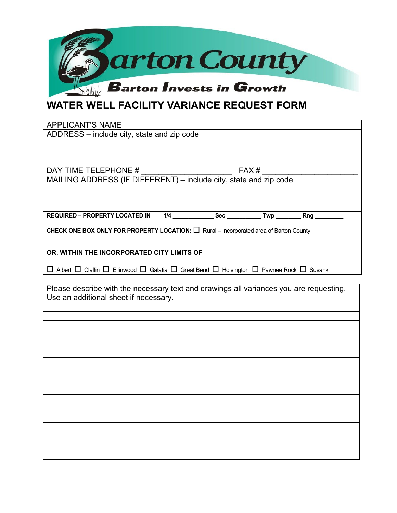

## **WATER WELL FACILITY VARIANCE REQUEST FORM**

| <b>APPLICANT'S NAME</b>                                                                                                           |  |  |  |  |  |  |  |
|-----------------------------------------------------------------------------------------------------------------------------------|--|--|--|--|--|--|--|
| ADDRESS - include city, state and zip code                                                                                        |  |  |  |  |  |  |  |
|                                                                                                                                   |  |  |  |  |  |  |  |
|                                                                                                                                   |  |  |  |  |  |  |  |
| DAY TIME TELEPHONE #<br>FAX#                                                                                                      |  |  |  |  |  |  |  |
| MAILING ADDRESS (IF DIFFERENT) - include city, state and zip code                                                                 |  |  |  |  |  |  |  |
|                                                                                                                                   |  |  |  |  |  |  |  |
|                                                                                                                                   |  |  |  |  |  |  |  |
|                                                                                                                                   |  |  |  |  |  |  |  |
| CHECK ONE BOX ONLY FOR PROPERTY LOCATION: □ Rural - incorporated area of Barton County                                            |  |  |  |  |  |  |  |
|                                                                                                                                   |  |  |  |  |  |  |  |
| OR, WITHIN THE INCORPORATED CITY LIMITS OF                                                                                        |  |  |  |  |  |  |  |
| $\Box$ Albert $\Box$ Claflin $\Box$ Ellinwood $\Box$ Galatia $\Box$ Great Bend $\Box$ Hoisington $\Box$ Pawnee Rock $\Box$ Susank |  |  |  |  |  |  |  |
|                                                                                                                                   |  |  |  |  |  |  |  |
| Please describe with the necessary text and drawings all variances you are requesting.                                            |  |  |  |  |  |  |  |
| Use an additional sheet if necessary.                                                                                             |  |  |  |  |  |  |  |
|                                                                                                                                   |  |  |  |  |  |  |  |
|                                                                                                                                   |  |  |  |  |  |  |  |
|                                                                                                                                   |  |  |  |  |  |  |  |
|                                                                                                                                   |  |  |  |  |  |  |  |
|                                                                                                                                   |  |  |  |  |  |  |  |
|                                                                                                                                   |  |  |  |  |  |  |  |
|                                                                                                                                   |  |  |  |  |  |  |  |
|                                                                                                                                   |  |  |  |  |  |  |  |
|                                                                                                                                   |  |  |  |  |  |  |  |
|                                                                                                                                   |  |  |  |  |  |  |  |
|                                                                                                                                   |  |  |  |  |  |  |  |
|                                                                                                                                   |  |  |  |  |  |  |  |
|                                                                                                                                   |  |  |  |  |  |  |  |